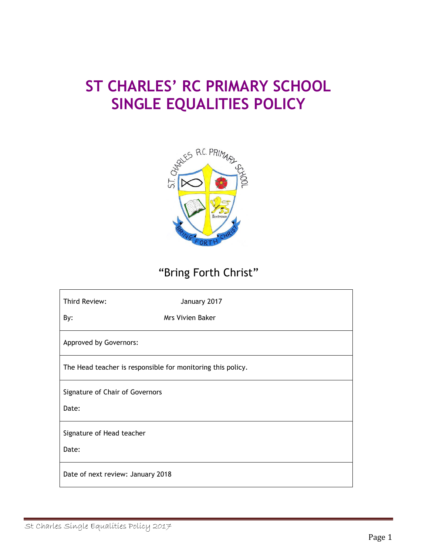# **ST CHARLES' RC PRIMARY SCHOOL SINGLE EQUALITIES POLICY**



# "Bring Forth Christ"

| Third Review:                                               | January 2017            |
|-------------------------------------------------------------|-------------------------|
| By:                                                         | <b>Mrs Vivien Baker</b> |
| Approved by Governors:                                      |                         |
| The Head teacher is responsible for monitoring this policy. |                         |
| Signature of Chair of Governors                             |                         |
| Date:                                                       |                         |
| Signature of Head teacher                                   |                         |
| Date:                                                       |                         |
| Date of next review: January 2018                           |                         |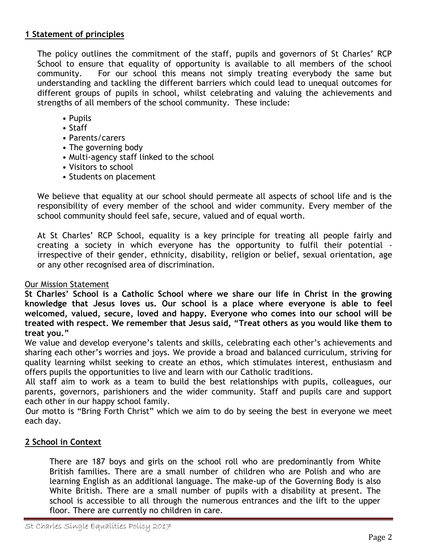# **1 Statement of principles**

The policy outlines the commitment of the staff, pupils and governors of St Charles' RCP School to ensure that equality of opportunity is available to all members of the school community. For our school this means not simply treating everybody the same but understanding and tackling the different barriers which could lead to unequal outcomes for different groups of pupils in school, whilst celebrating and valuing the achievements and strengths of all members of the school community. These include:

- Pupils
- Staff
- Parents/carers
- The governing body
- Multi-agency staff linked to the school
- Visitors to school
- Students on placement

We believe that equality at our school should permeate all aspects of school life and is the responsibility of every member of the school and wider community. Every member of the school community should feel safe, secure, valued and of equal worth.

At St Charles' RCP School, equality is a key principle for treating all people fairly and creating a society in which everyone has the opportunity to fulfil their potential irrespective of their gender, ethnicity, disability, religion or belief, sexual orientation, age or any other recognised area of discrimination.

#### Our Mission Statement

**St Charles' School is a Catholic School where we share our life in Christ in the growing knowledge that Jesus loves us. Our school is a place where everyone is able to feel welcomed, valued, secure, loved and happy. Everyone who comes into our school will be treated with respect. We remember that Jesus said, "Treat others as you would like them to treat you."**

We value and develop everyone's talents and skills, celebrating each other's achievements and sharing each other's worries and joys. We provide a broad and balanced curriculum, striving for quality learning whilst seeking to create an ethos, which stimulates interest, enthusiasm and offers pupils the opportunities to live and learn with our Catholic traditions.

All staff aim to work as a team to build the best relationships with pupils, colleagues, our parents, governors, parishioners and the wider community. Staff and pupils care and support each other in our happy school family.

Our motto is "Bring Forth Christ" which we aim to do by seeing the best in everyone we meet each day.

#### **2 School in Context**

There are 187 boys and girls on the school roll who are predominantly from White British families. There are a small number of children who are Polish and who are learning English as an additional language. The make-up of the Governing Body is also White British. There are a small number of pupils with a disability at present. The school is accessible to all through the numerous entrances and the lift to the upper floor. There are currently no children in care.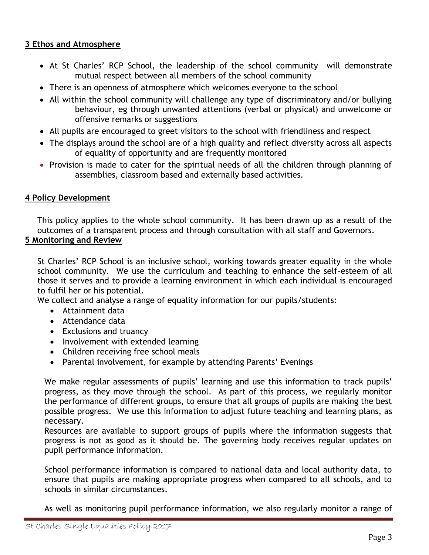# **3 Ethos and Atmosphere**

- At St Charles' RCP School, the leadership of the school community will demonstrate mutual respect between all members of the school community
- There is an openness of atmosphere which welcomes everyone to the school
- All within the school community will challenge any type of discriminatory and/or bullying behaviour, eg through unwanted attentions (verbal or physical) and unwelcome or offensive remarks or suggestions
- All pupils are encouraged to greet visitors to the school with friendliness and respect
- The displays around the school are of a high quality and reflect diversity across all aspects of equality of opportunity and are frequently monitored
- Provision is made to cater for the spiritual needs of all the children through planning of assemblies, classroom based and externally based activities.

# **4 Policy Development**

This policy applies to the whole school community. It has been drawn up as a result of the outcomes of a transparent process and through consultation with all staff and Governors.

# **5 Monitoring and Review**

St Charles' RCP School is an inclusive school, working towards greater equality in the whole school community. We use the curriculum and teaching to enhance the self-esteem of all those it serves and to provide a learning environment in which each individual is encouraged to fulfil her or his potential.

We collect and analyse a range of equality information for our pupils/students:

- Attainment data
- Attendance data
- Exclusions and truancy
- Involvement with extended learning
- Children receiving free school meals
- Parental involvement, for example by attending Parents' Evenings

We make regular assessments of pupils' learning and use this information to track pupils' progress, as they move through the school. As part of this process, we regularly monitor the performance of different groups, to ensure that all groups of pupils are making the best possible progress. We use this information to adjust future teaching and learning plans, as necessary.

Resources are available to support groups of pupils where the information suggests that progress is not as good as it should be. The governing body receives regular updates on pupil performance information.

School performance information is compared to national data and local authority data, to ensure that pupils are making appropriate progress when compared to all schools, and to schools in similar circumstances.

As well as monitoring pupil performance information, we also regularly monitor a range of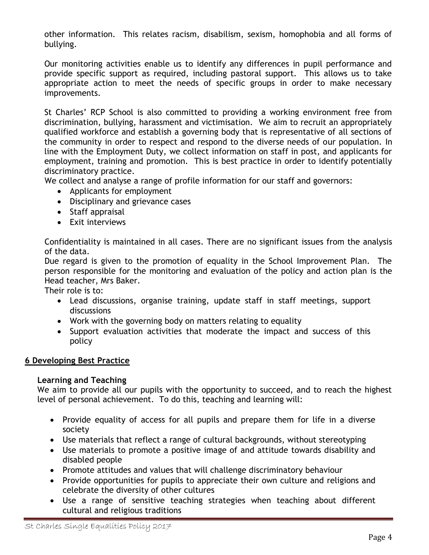other information. This relates racism, disabilism, sexism, homophobia and all forms of bullying.

Our monitoring activities enable us to identify any differences in pupil performance and provide specific support as required, including pastoral support. This allows us to take appropriate action to meet the needs of specific groups in order to make necessary improvements.

St Charles' RCP School is also committed to providing a working environment free from discrimination, bullying, harassment and victimisation. We aim to recruit an appropriately qualified workforce and establish a governing body that is representative of all sections of the community in order to respect and respond to the diverse needs of our population. In line with the Employment Duty, we collect information on staff in post, and applicants for employment, training and promotion. This is best practice in order to identify potentially discriminatory practice.

We collect and analyse a range of profile information for our staff and governors:

- Applicants for employment
- Disciplinary and grievance cases
- Staff appraisal
- Exit interviews

Confidentiality is maintained in all cases. There are no significant issues from the analysis of the data.

Due regard is given to the promotion of equality in the School Improvement Plan. The person responsible for the monitoring and evaluation of the policy and action plan is the Head teacher, Mrs Baker.

Their role is to:

- Lead discussions, organise training, update staff in staff meetings, support discussions
- Work with the governing body on matters relating to equality
- Support evaluation activities that moderate the impact and success of this policy

#### **6 Developing Best Practice**

#### **Learning and Teaching**

We aim to provide all our pupils with the opportunity to succeed, and to reach the highest level of personal achievement. To do this, teaching and learning will:

- Provide equality of access for all pupils and prepare them for life in a diverse society
- Use materials that reflect a range of cultural backgrounds, without stereotyping
- Use materials to promote a positive image of and attitude towards disability and disabled people
- Promote attitudes and values that will challenge discriminatory behaviour
- Provide opportunities for pupils to appreciate their own culture and religions and celebrate the diversity of other cultures
- Use a range of sensitive teaching strategies when teaching about different cultural and religious traditions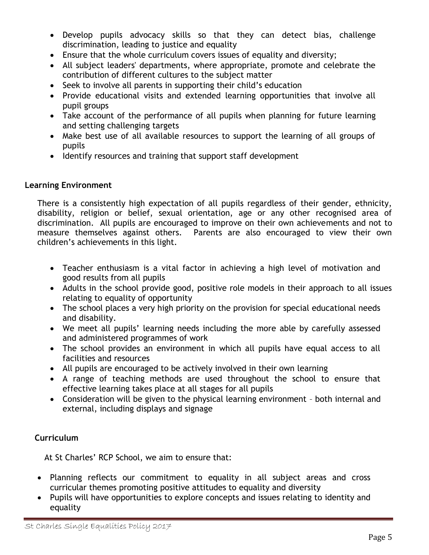- Develop pupils advocacy skills so that they can detect bias, challenge discrimination, leading to justice and equality
- Ensure that the whole curriculum covers issues of equality and diversity;
- All subject leaders' departments, where appropriate, promote and celebrate the contribution of different cultures to the subject matter
- Seek to involve all parents in supporting their child's education
- Provide educational visits and extended learning opportunities that involve all pupil groups
- Take account of the performance of all pupils when planning for future learning and setting challenging targets
- Make best use of all available resources to support the learning of all groups of pupils
- Identify resources and training that support staff development

# **Learning Environment**

There is a consistently high expectation of all pupils regardless of their gender, ethnicity, disability, religion or belief, sexual orientation, age or any other recognised area of discrimination. All pupils are encouraged to improve on their own achievements and not to measure themselves against others. Parents are also encouraged to view their own children's achievements in this light.

- Teacher enthusiasm is a vital factor in achieving a high level of motivation and good results from all pupils
- Adults in the school provide good, positive role models in their approach to all issues relating to equality of opportunity
- The school places a very high priority on the provision for special educational needs and disability.
- We meet all pupils' learning needs including the more able by carefully assessed and administered programmes of work
- The school provides an environment in which all pupils have equal access to all facilities and resources
- All pupils are encouraged to be actively involved in their own learning
- A range of teaching methods are used throughout the school to ensure that effective learning takes place at all stages for all pupils
- Consideration will be given to the physical learning environment both internal and external, including displays and signage

# **Curriculum**

At St Charles' RCP School, we aim to ensure that:

- Planning reflects our commitment to equality in all subject areas and cross curricular themes promoting positive attitudes to equality and diversity
- Pupils will have opportunities to explore concepts and issues relating to identity and equality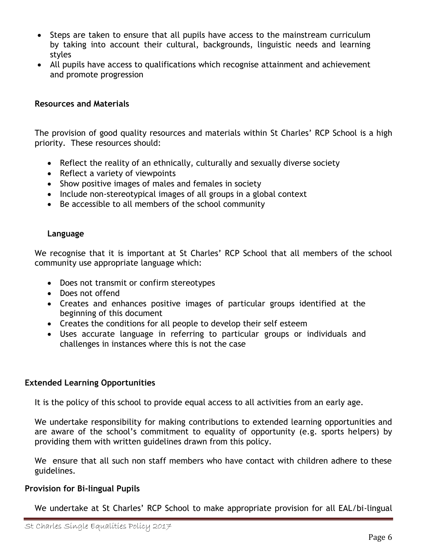- Steps are taken to ensure that all pupils have access to the mainstream curriculum by taking into account their cultural, backgrounds, linguistic needs and learning styles
- All pupils have access to qualifications which recognise attainment and achievement and promote progression

### **Resources and Materials**

The provision of good quality resources and materials within St Charles' RCP School is a high priority. These resources should:

- Reflect the reality of an ethnically, culturally and sexually diverse society
- Reflect a variety of viewpoints
- Show positive images of males and females in society
- Include non-stereotypical images of all groups in a global context
- Be accessible to all members of the school community

### **Language**

We recognise that it is important at St Charles' RCP School that all members of the school community use appropriate language which:

- Does not transmit or confirm stereotypes
- Does not offend
- Creates and enhances positive images of particular groups identified at the beginning of this document
- Creates the conditions for all people to develop their self esteem
- Uses accurate language in referring to particular groups or individuals and challenges in instances where this is not the case

# **Extended Learning Opportunities**

It is the policy of this school to provide equal access to all activities from an early age.

We undertake responsibility for making contributions to extended learning opportunities and are aware of the school's commitment to equality of opportunity (e.g. sports helpers) by providing them with written guidelines drawn from this policy.

We ensure that all such non staff members who have contact with children adhere to these guidelines.

# **Provision for Bi-lingual Pupils**

We undertake at St Charles' RCP School to make appropriate provision for all EAL/bi-lingual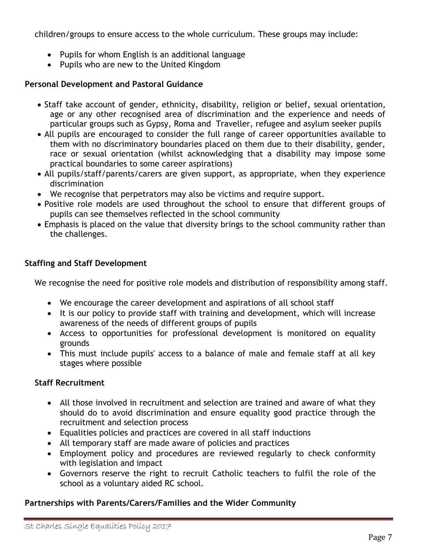children/groups to ensure access to the whole curriculum. These groups may include:

- Pupils for whom English is an additional language
- Pupils who are new to the United Kingdom

# **Personal Development and Pastoral Guidance**

- Staff take account of gender, ethnicity, disability, religion or belief, sexual orientation, age or any other recognised area of discrimination and the experience and needs of particular groups such as Gypsy, Roma and Traveller, refugee and asylum seeker pupils
- All pupils are encouraged to consider the full range of career opportunities available to them with no discriminatory boundaries placed on them due to their disability, gender, race or sexual orientation (whilst acknowledging that a disability may impose some practical boundaries to some career aspirations)
- All pupils/staff/parents/carers are given support, as appropriate, when they experience discrimination
- We recognise that perpetrators may also be victims and require support.
- Positive role models are used throughout the school to ensure that different groups of pupils can see themselves reflected in the school community
- Emphasis is placed on the value that diversity brings to the school community rather than the challenges.

# **Staffing and Staff Development**

We recognise the need for positive role models and distribution of responsibility among staff.

- We encourage the career development and aspirations of all school staff
- It is our policy to provide staff with training and development, which will increase awareness of the needs of different groups of pupils
- Access to opportunities for professional development is monitored on equality grounds
- This must include pupils' access to a balance of male and female staff at all key stages where possible

# **Staff Recruitment**

- All those involved in recruitment and selection are trained and aware of what they should do to avoid discrimination and ensure equality good practice through the recruitment and selection process
- Equalities policies and practices are covered in all staff inductions
- All temporary staff are made aware of policies and practices
- Employment policy and procedures are reviewed regularly to check conformity with legislation and impact
- Governors reserve the right to recruit Catholic teachers to fulfil the role of the school as a voluntary aided RC school.

# **Partnerships with Parents/Carers/Families and the Wider Community**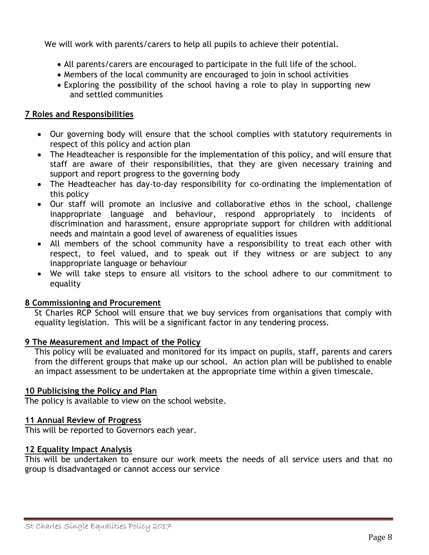We will work with parents/carers to help all pupils to achieve their potential.

- All parents/carers are encouraged to participate in the full life of the school.
- Members of the local community are encouraged to join in school activities
- Exploring the possibility of the school having a role to play in supporting new and settled communities

#### **7 Roles and Responsibilities**

- Our governing body will ensure that the school complies with statutory requirements in respect of this policy and action plan
- The Headteacher is responsible for the implementation of this policy, and will ensure that staff are aware of their responsibilities, that they are given necessary training and support and report progress to the governing body
- The Headteacher has day-to-day responsibility for co-ordinating the implementation of this policy
- Our staff will promote an inclusive and collaborative ethos in the school, challenge inappropriate language and behaviour, respond appropriately to incidents of discrimination and harassment, ensure appropriate support for children with additional needs and maintain a good level of awareness of equalities issues
- All members of the school community have a responsibility to treat each other with respect, to feel valued, and to speak out if they witness or are subject to any inappropriate language or behaviour
- We will take steps to ensure all visitors to the school adhere to our commitment to equality

#### **8 Commissioning and Procurement**

St Charles RCP School will ensure that we buy services from organisations that comply with equality legislation. This will be a significant factor in any tendering process.

#### **9 The Measurement and Impact of the Policy**

This policy will be evaluated and monitored for its impact on pupils, staff, parents and carers from the different groups that make up our school. An action plan will be published to enable an impact assessment to be undertaken at the appropriate time within a given timescale.

#### **10 Publicising the Policy and Plan**

The policy is available to view on the school website.

#### **11 Annual Review of Progress**

This will be reported to Governors each year.

#### **12 Equality Impact Analysis**

This will be undertaken to ensure our work meets the needs of all service users and that no group is disadvantaged or cannot access our service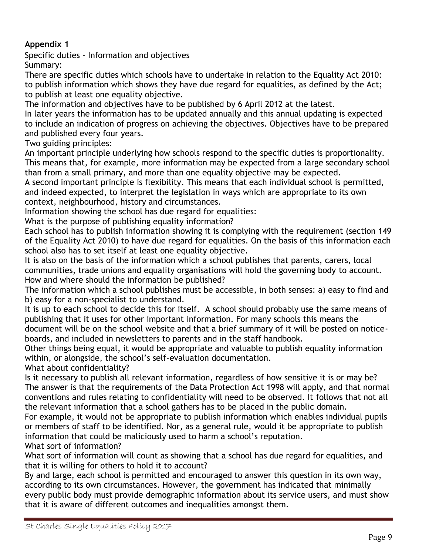# **Appendix 1**

Specific duties - Information and objectives Summary:

There are specific duties which schools have to undertake in relation to the Equality Act 2010: to publish information which shows they have due regard for equalities, as defined by the Act; to publish at least one equality objective.

The information and objectives have to be published by 6 April 2012 at the latest.

In later years the information has to be updated annually and this annual updating is expected to include an indication of progress on achieving the objectives. Objectives have to be prepared and published every four years.

Two guiding principles:

An important principle underlying how schools respond to the specific duties is proportionality. This means that, for example, more information may be expected from a large secondary school than from a small primary, and more than one equality objective may be expected.

A second important principle is flexibility. This means that each individual school is permitted, and indeed expected, to interpret the legislation in ways which are appropriate to its own context, neighbourhood, history and circumstances.

Information showing the school has due regard for equalities:

What is the purpose of publishing equality information?

Each school has to publish information showing it is complying with the requirement (section 149 of the Equality Act 2010) to have due regard for equalities. On the basis of this information each school also has to set itself at least one equality objective.

It is also on the basis of the information which a school publishes that parents, carers, local communities, trade unions and equality organisations will hold the governing body to account. How and where should the information be published?

The information which a school publishes must be accessible, in both senses: a) easy to find and b) easy for a non-specialist to understand.

It is up to each school to decide this for itself. A school should probably use the same means of publishing that it uses for other important information. For many schools this means the document will be on the school website and that a brief summary of it will be posted on noticeboards, and included in newsletters to parents and in the staff handbook.

Other things being equal, it would be appropriate and valuable to publish equality information within, or alongside, the school's self-evaluation documentation.

What about confidentiality?

Is it necessary to publish all relevant information, regardless of how sensitive it is or may be? The answer is that the requirements of the Data Protection Act 1998 will apply, and that normal conventions and rules relating to confidentiality will need to be observed. It follows that not all the relevant information that a school gathers has to be placed in the public domain.

For example, it would not be appropriate to publish information which enables individual pupils or members of staff to be identified. Nor, as a general rule, would it be appropriate to publish information that could be maliciously used to harm a school's reputation.

What sort of information?

What sort of information will count as showing that a school has due regard for equalities, and that it is willing for others to hold it to account?

By and large, each school is permitted and encouraged to answer this question in its own way, according to its own circumstances. However, the government has indicated that minimally every public body must provide demographic information about its service users, and must show that it is aware of different outcomes and inequalities amongst them.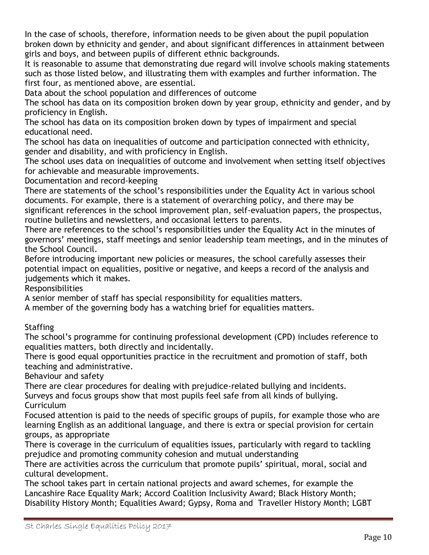In the case of schools, therefore, information needs to be given about the pupil population broken down by ethnicity and gender, and about significant differences in attainment between girls and boys, and between pupils of different ethnic backgrounds.

It is reasonable to assume that demonstrating due regard will involve schools making statements such as those listed below, and illustrating them with examples and further information. The first four, as mentioned above, are essential.

Data about the school population and differences of outcome

The school has data on its composition broken down by year group, ethnicity and gender, and by proficiency in English.

The school has data on its composition broken down by types of impairment and special educational need.

The school has data on inequalities of outcome and participation connected with ethnicity, gender and disability, and with proficiency in English.

The school uses data on inequalities of outcome and involvement when setting itself objectives for achievable and measurable improvements.

Documentation and record-keeping

There are statements of the school's responsibilities under the Equality Act in various school documents. For example, there is a statement of overarching policy, and there may be significant references in the school improvement plan, self-evaluation papers, the prospectus, routine bulletins and newsletters, and occasional letters to parents.

There are references to the school's responsibilities under the Equality Act in the minutes of governors' meetings, staff meetings and senior leadership team meetings, and in the minutes of the School Council.

Before introducing important new policies or measures, the school carefully assesses their potential impact on equalities, positive or negative, and keeps a record of the analysis and judgements which it makes.

Responsibilities

A senior member of staff has special responsibility for equalities matters.

A member of the governing body has a watching brief for equalities matters.

**Staffing** 

The school's programme for continuing professional development (CPD) includes reference to equalities matters, both directly and incidentally.

There is good equal opportunities practice in the recruitment and promotion of staff, both teaching and administrative.

Behaviour and safety

There are clear procedures for dealing with prejudice-related bullying and incidents. Surveys and focus groups show that most pupils feel safe from all kinds of bullying. Curriculum

Focused attention is paid to the needs of specific groups of pupils, for example those who are learning English as an additional language, and there is extra or special provision for certain groups, as appropriate

There is coverage in the curriculum of equalities issues, particularly with regard to tackling prejudice and promoting community cohesion and mutual understanding

There are activities across the curriculum that promote pupils' spiritual, moral, social and cultural development.

The school takes part in certain national projects and award schemes, for example the Lancashire Race Equality Mark; Accord Coalition Inclusivity Award; Black History Month; Disability History Month; Equalities Award; Gypsy, Roma and Traveller History Month; LGBT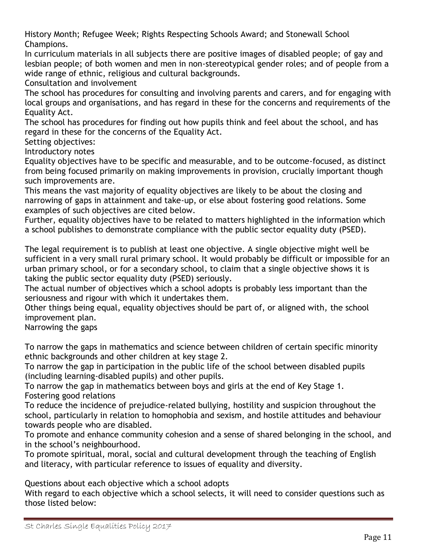History Month; Refugee Week; Rights Respecting Schools Award; and Stonewall School Champions.

In curriculum materials in all subjects there are positive images of disabled people; of gay and lesbian people; of both women and men in non-stereotypical gender roles; and of people from a wide range of ethnic, religious and cultural backgrounds.

Consultation and involvement

The school has procedures for consulting and involving parents and carers, and for engaging with local groups and organisations, and has regard in these for the concerns and requirements of the Equality Act.

The school has procedures for finding out how pupils think and feel about the school, and has regard in these for the concerns of the Equality Act.

Setting objectives:

Introductory notes

Equality objectives have to be specific and measurable, and to be outcome-focused, as distinct from being focused primarily on making improvements in provision, crucially important though such improvements are.

This means the vast majority of equality objectives are likely to be about the closing and narrowing of gaps in attainment and take-up, or else about fostering good relations. Some examples of such objectives are cited below.

Further, equality objectives have to be related to matters highlighted in the information which a school publishes to demonstrate compliance with the public sector equality duty (PSED).

The legal requirement is to publish at least one objective. A single objective might well be sufficient in a very small rural primary school. It would probably be difficult or impossible for an urban primary school, or for a secondary school, to claim that a single objective shows it is taking the public sector equality duty (PSED) seriously.

The actual number of objectives which a school adopts is probably less important than the seriousness and rigour with which it undertakes them.

Other things being equal, equality objectives should be part of, or aligned with, the school improvement plan.

Narrowing the gaps

To narrow the gaps in mathematics and science between children of certain specific minority ethnic backgrounds and other children at key stage 2.

To narrow the gap in participation in the public life of the school between disabled pupils (including learning-disabled pupils) and other pupils.

To narrow the gap in mathematics between boys and girls at the end of Key Stage 1. Fostering good relations

To reduce the incidence of prejudice-related bullying, hostility and suspicion throughout the school, particularly in relation to homophobia and sexism, and hostile attitudes and behaviour towards people who are disabled.

To promote and enhance community cohesion and a sense of shared belonging in the school, and in the school's neighbourhood.

To promote spiritual, moral, social and cultural development through the teaching of English and literacy, with particular reference to issues of equality and diversity.

Questions about each objective which a school adopts

With regard to each objective which a school selects, it will need to consider questions such as those listed below: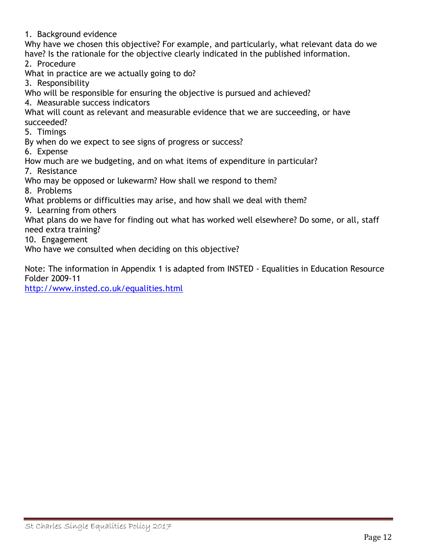1. Background evidence

Why have we chosen this objective? For example, and particularly, what relevant data do we have? Is the rationale for the objective clearly indicated in the published information.

2. Procedure

What in practice are we actually going to do?

3. Responsibility

Who will be responsible for ensuring the objective is pursued and achieved?

4. Measurable success indicators

What will count as relevant and measurable evidence that we are succeeding, or have succeeded?

5. Timings

By when do we expect to see signs of progress or success?

6. Expense

How much are we budgeting, and on what items of expenditure in particular?

7. Resistance

Who may be opposed or lukewarm? How shall we respond to them?

8. Problems

What problems or difficulties may arise, and how shall we deal with them?

9. Learning from others

What plans do we have for finding out what has worked well elsewhere? Do some, or all, staff need extra training?

10. Engagement

Who have we consulted when deciding on this objective?

Note: The information in Appendix 1 is adapted from INSTED - Equalities in Education Resource Folder 2009-11

<http://www.insted.co.uk/equalities.html>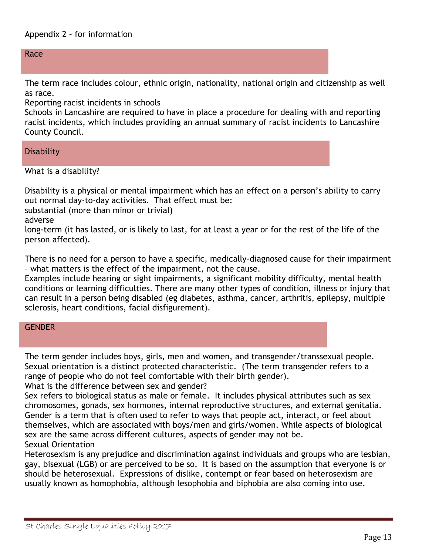Race

The term race includes colour, ethnic origin, nationality, national origin and citizenship as well as race.

Reporting racist incidents in schools

Schools in Lancashire are required to have in place a procedure for dealing with and reporting racist incidents, which includes providing an annual summary of racist incidents to Lancashire County Council.

**Disability** 

What is a disability?

Disability is a physical or mental impairment which has an effect on a person's ability to carry out normal day-to-day activities. That effect must be:

substantial (more than minor or trivial)

adverse

long-term (it has lasted, or is likely to last, for at least a year or for the rest of the life of the person affected).

There is no need for a person to have a specific, medically-diagnosed cause for their impairment – what matters is the effect of the impairment, not the cause.

Examples include hearing or sight impairments, a significant mobility difficulty, mental health conditions or learning difficulties. There are many other types of condition, illness or injury that can result in a person being disabled (eg diabetes, asthma, cancer, arthritis, epilepsy, multiple sclerosis, heart conditions, facial disfigurement).

### **GENDER**

The term gender includes boys, girls, men and women, and transgender/transsexual people. Sexual orientation is a distinct protected characteristic. (The term transgender refers to a range of people who do not feel comfortable with their birth gender).

What is the difference between sex and gender?

Sex refers to biological status as male or female. It includes physical attributes such as sex chromosomes, gonads, sex hormones, internal reproductive structures, and external genitalia. Gender is a term that is often used to refer to ways that people act, interact, or feel about themselves, which are associated with boys/men and girls/women. While aspects of biological sex are the same across different cultures, aspects of gender may not be. Sexual Orientation

Heterosexism is any prejudice and discrimination against individuals and groups who are lesbian, gay, bisexual (LGB) or are perceived to be so. It is based on the assumption that everyone is or should be heterosexual. Expressions of dislike, contempt or fear based on heterosexism are usually known as homophobia, although lesophobia and biphobia are also coming into use.